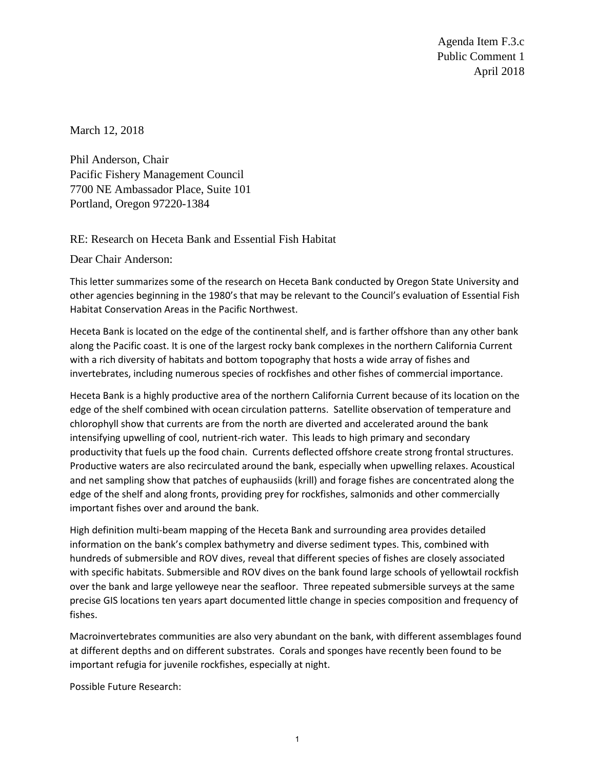Agenda Item F.3.c Public Comment 1 April 2018

March 12, 2018

Phil Anderson, Chair Pacific Fishery Management Council 7700 NE Ambassador Place, Suite 101 Portland, Oregon 97220-1384

RE: Research on Heceta Bank and Essential Fish Habitat

Dear Chair Anderson:

This letter summarizes some of the research on Heceta Bank conducted by Oregon State University and other agencies beginning in the 1980's that may be relevant to the Council's evaluation of Essential Fish Habitat Conservation Areas in the Pacific Northwest.

Heceta Bank is located on the edge of the continental shelf, and is farther offshore than any other bank along the Pacific coast. It is one of the largest rocky bank complexes in the northern California Current with a rich diversity of habitats and bottom topography that hosts a wide array of fishes and invertebrates, including numerous species of rockfishes and other fishes of commercial importance.

Heceta Bank is a highly productive area of the northern California Current because of its location on the edge of the shelf combined with ocean circulation patterns. Satellite observation of temperature and chlorophyll show that currents are from the north are diverted and accelerated around the bank intensifying upwelling of cool, nutrient-rich water. This leads to high primary and secondary productivity that fuels up the food chain. Currents deflected offshore create strong frontal structures. Productive waters are also recirculated around the bank, especially when upwelling relaxes. Acoustical and net sampling show that patches of euphausiids (krill) and forage fishes are concentrated along the edge of the shelf and along fronts, providing prey for rockfishes, salmonids and other commercially important fishes over and around the bank.

High definition multi-beam mapping of the Heceta Bank and surrounding area provides detailed information on the bank's complex bathymetry and diverse sediment types. This, combined with hundreds of submersible and ROV dives, reveal that different species of fishes are closely associated with specific habitats. Submersible and ROV dives on the bank found large schools of yellowtail rockfish over the bank and large yelloweye near the seafloor. Three repeated submersible surveys at the same precise GIS locations ten years apart documented little change in species composition and frequency of fishes.

Macroinvertebrates communities are also very abundant on the bank, with different assemblages found at different depths and on different substrates. Corals and sponges have recently been found to be important refugia for juvenile rockfishes, especially at night.

Possible Future Research: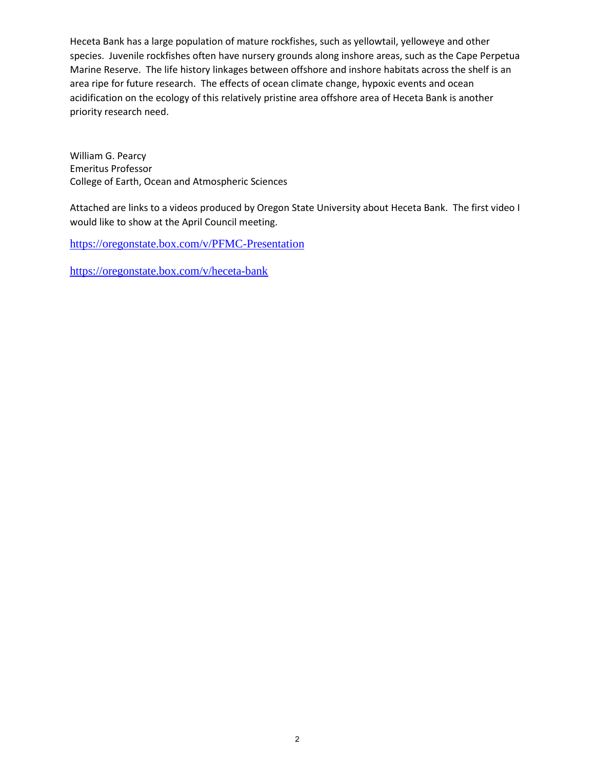Heceta Bank has a large population of mature rockfishes, such as yellowtail, yelloweye and other species. Juvenile rockfishes often have nursery grounds along inshore areas, such as the Cape Perpetua Marine Reserve. The life history linkages between offshore and inshore habitats across the shelf is an area ripe for future research. The effects of ocean climate change, hypoxic events and ocean acidification on the ecology of this relatively pristine area offshore area of Heceta Bank is another priority research need.

William G. Pearcy Emeritus Professor College of Earth, Ocean and Atmospheric Sciences

Attached are links to a videos produced by Oregon State University about Heceta Bank. The first video I would like to show at the April Council meeting.

<https://oregonstate.box.com/v/PFMC-Presentation>

<https://oregonstate.box.com/v/heceta-bank>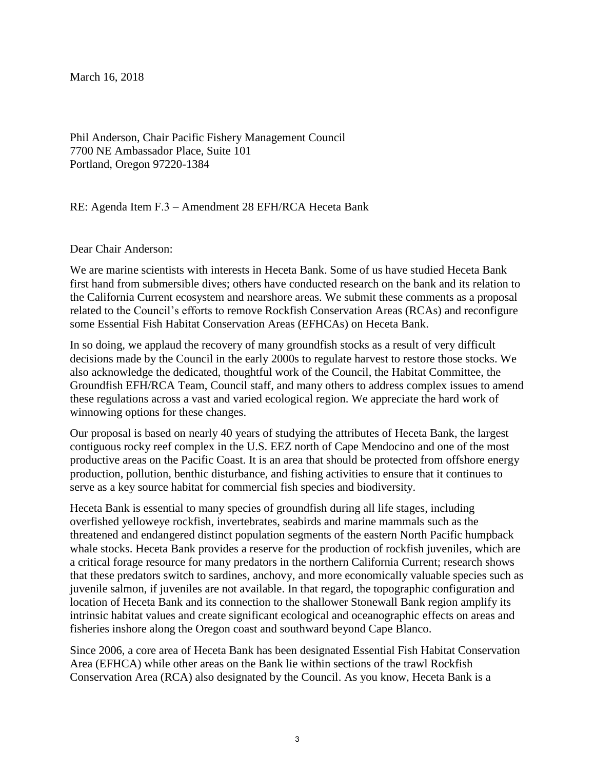March 16, 2018

Phil Anderson, Chair Pacific Fishery Management Council 7700 NE Ambassador Place, Suite 101 Portland, Oregon 97220-1384

RE: Agenda Item F.3 – Amendment 28 EFH/RCA Heceta Bank

Dear Chair Anderson:

We are marine scientists with interests in Heceta Bank. Some of us have studied Heceta Bank first hand from submersible dives; others have conducted research on the bank and its relation to the California Current ecosystem and nearshore areas. We submit these comments as a proposal related to the Council's efforts to remove Rockfish Conservation Areas (RCAs) and reconfigure some Essential Fish Habitat Conservation Areas (EFHCAs) on Heceta Bank.

In so doing, we applaud the recovery of many groundfish stocks as a result of very difficult decisions made by the Council in the early 2000s to regulate harvest to restore those stocks. We also acknowledge the dedicated, thoughtful work of the Council, the Habitat Committee, the Groundfish EFH/RCA Team, Council staff, and many others to address complex issues to amend these regulations across a vast and varied ecological region. We appreciate the hard work of winnowing options for these changes.

Our proposal is based on nearly 40 years of studying the attributes of Heceta Bank, the largest contiguous rocky reef complex in the U.S. EEZ north of Cape Mendocino and one of the most productive areas on the Pacific Coast. It is an area that should be protected from offshore energy production, pollution, benthic disturbance, and fishing activities to ensure that it continues to serve as a key source habitat for commercial fish species and biodiversity.

Heceta Bank is essential to many species of groundfish during all life stages, including overfished yelloweye rockfish, invertebrates, seabirds and marine mammals such as the threatened and endangered distinct population segments of the eastern North Pacific humpback whale stocks. Heceta Bank provides a reserve for the production of rockfish juveniles, which are a critical forage resource for many predators in the northern California Current; research shows that these predators switch to sardines, anchovy, and more economically valuable species such as juvenile salmon, if juveniles are not available. In that regard, the topographic configuration and location of Heceta Bank and its connection to the shallower Stonewall Bank region amplify its intrinsic habitat values and create significant ecological and oceanographic effects on areas and fisheries inshore along the Oregon coast and southward beyond Cape Blanco.

Since 2006, a core area of Heceta Bank has been designated Essential Fish Habitat Conservation Area (EFHCA) while other areas on the Bank lie within sections of the trawl Rockfish Conservation Area (RCA) also designated by the Council. As you know, Heceta Bank is a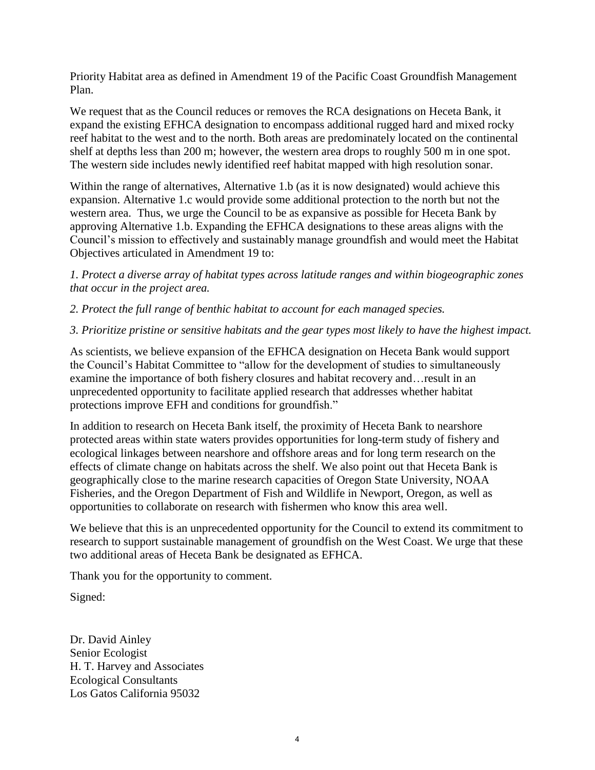Priority Habitat area as defined in Amendment 19 of the Pacific Coast Groundfish Management Plan.

We request that as the Council reduces or removes the RCA designations on Heceta Bank, it expand the existing EFHCA designation to encompass additional rugged hard and mixed rocky reef habitat to the west and to the north. Both areas are predominately located on the continental shelf at depths less than 200 m; however, the western area drops to roughly 500 m in one spot. The western side includes newly identified reef habitat mapped with high resolution sonar.

Within the range of alternatives, Alternative 1.b (as it is now designated) would achieve this expansion. Alternative 1.c would provide some additional protection to the north but not the western area. Thus, we urge the Council to be as expansive as possible for Heceta Bank by approving Alternative 1.b. Expanding the EFHCA designations to these areas aligns with the Council's mission to effectively and sustainably manage groundfish and would meet the Habitat Objectives articulated in Amendment 19 to:

*1. Protect a diverse array of habitat types across latitude ranges and within biogeographic zones that occur in the project area.* 

*2. Protect the full range of benthic habitat to account for each managed species.*

## *3. Prioritize pristine or sensitive habitats and the gear types most likely to have the highest impact.*

As scientists, we believe expansion of the EFHCA designation on Heceta Bank would support the Council's Habitat Committee to "allow for the development of studies to simultaneously examine the importance of both fishery closures and habitat recovery and…result in an unprecedented opportunity to facilitate applied research that addresses whether habitat protections improve EFH and conditions for groundfish."

In addition to research on Heceta Bank itself, the proximity of Heceta Bank to nearshore protected areas within state waters provides opportunities for long-term study of fishery and ecological linkages between nearshore and offshore areas and for long term research on the effects of climate change on habitats across the shelf. We also point out that Heceta Bank is geographically close to the marine research capacities of Oregon State University, NOAA Fisheries, and the Oregon Department of Fish and Wildlife in Newport, Oregon, as well as opportunities to collaborate on research with fishermen who know this area well.

We believe that this is an unprecedented opportunity for the Council to extend its commitment to research to support sustainable management of groundfish on the West Coast. We urge that these two additional areas of Heceta Bank be designated as EFHCA.

Thank you for the opportunity to comment.

Signed:

Dr. David Ainley Senior Ecologist H. T. Harvey and Associates Ecological Consultants Los Gatos California 95032